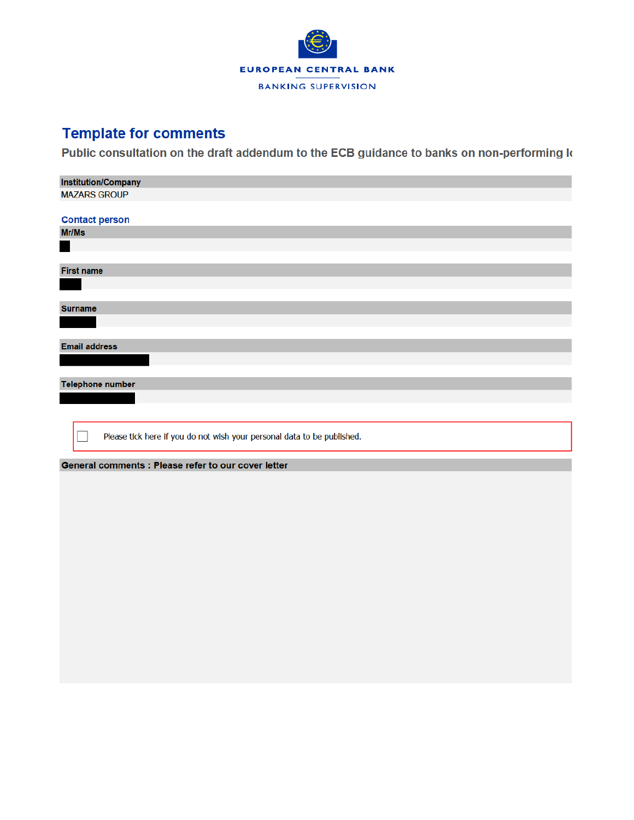

# **Template for comments**

Public consultation on the draft addendum to the ECB guidance to banks on non-performing k

| <b>Institution/Company</b>                                              |
|-------------------------------------------------------------------------|
| <b>MAZARS GROUP</b>                                                     |
|                                                                         |
| <b>Contact person</b>                                                   |
| Mr/Ms                                                                   |
|                                                                         |
|                                                                         |
| <b>First name</b>                                                       |
|                                                                         |
|                                                                         |
| <b>Surname</b>                                                          |
|                                                                         |
|                                                                         |
| <b>Email address</b>                                                    |
|                                                                         |
|                                                                         |
| <b>Telephone number</b>                                                 |
|                                                                         |
|                                                                         |
|                                                                         |
| Please tick here if you do not wish your personal data to be published. |
|                                                                         |
| General comments : Please refer to our cover letter                     |
|                                                                         |
|                                                                         |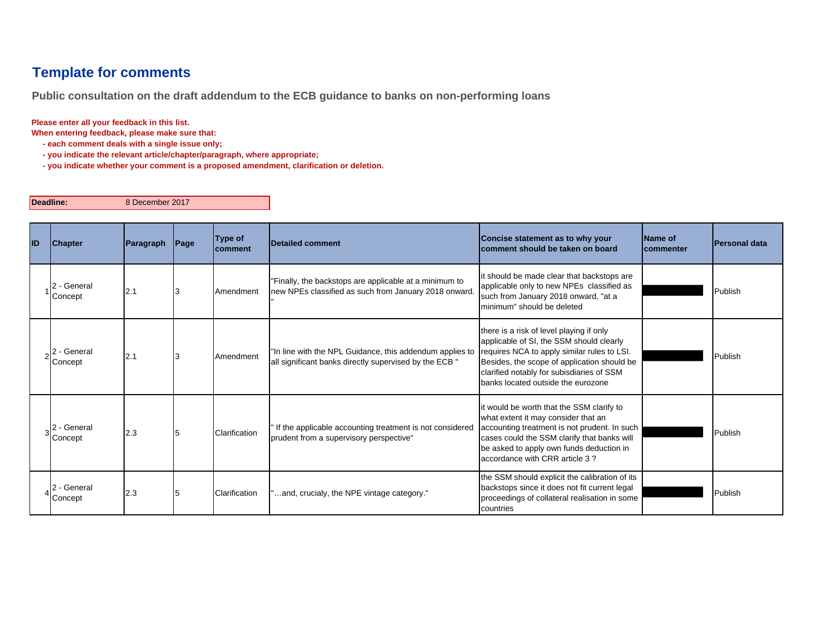## **Template for comments**

**Public consultation on the draft addendum to the ECB guidance to banks on non-performing loans**

**Please enter all your feedback in this list.**

**When entering feedback, please make sure that:** 

 **- each comment deals with a single issue only;**

 **- you indicate the relevant article/chapter/paragraph, where appropriate;**

 **- you indicate whether your comment is a proposed amendment, clarification or deletion.**

**Deadline:**

8 December 2017

| ID | <b>Chapter</b>         | Paragraph | Page | Type of<br>comment | <b>Detailed comment</b>                                                                                            | Concise statement as to why your<br>comment should be taken on board                                                                                                                                                                                                  | Name of<br><b>Icommenter</b> | <b>IPersonal data</b> |
|----|------------------------|-----------|------|--------------------|--------------------------------------------------------------------------------------------------------------------|-----------------------------------------------------------------------------------------------------------------------------------------------------------------------------------------------------------------------------------------------------------------------|------------------------------|-----------------------|
|    | - General<br>Concept   | 2.1       |      | Amendment          | "Finally, the backstops are applicable at a minimum to<br>new NPEs classified as such from January 2018 onward.    | it should be made clear that backstops are<br>applicable only to new NPEs classified as<br>such from January 2018 onward, "at a<br>minimum" should be deleted                                                                                                         |                              | Publish               |
|    | - General<br>Concept   | 2.1       |      | Amendment          | "In line with the NPL Guidance, this addendum applies to<br>all significant banks directly supervised by the ECB " | there is a risk of level playing if only<br>applicable of SI, the SSM should clearly<br>requires NCA to apply similar rules to LSI.<br>Besides, the scope of application should be<br>clarified notably for subisdiaries of SSM<br>banks located outside the eurozone |                              | Publish               |
|    | 2 - General<br>Concept | 2.3       |      | Clarification      | If the applicable accounting treatment is not considered<br>prudent from a supervisory perspective"                | it would be worth that the SSM clarify to<br>what extent it may consider that an<br>accounting treatment is not prudent. In such<br>cases could the SSM clarify that banks will<br>be asked to apply own funds deduction in<br>accordance with CRR article 3?         |                              | Publish               |
|    | - General<br>Concept   | 2.3       |      | Clarification      | and, crucialy, the NPE vintage category."                                                                          | the SSM should explicit the calibration of its<br>backstops since it does not fit current legal<br>proceedings of collateral realisation in some<br>countries                                                                                                         |                              | Publish               |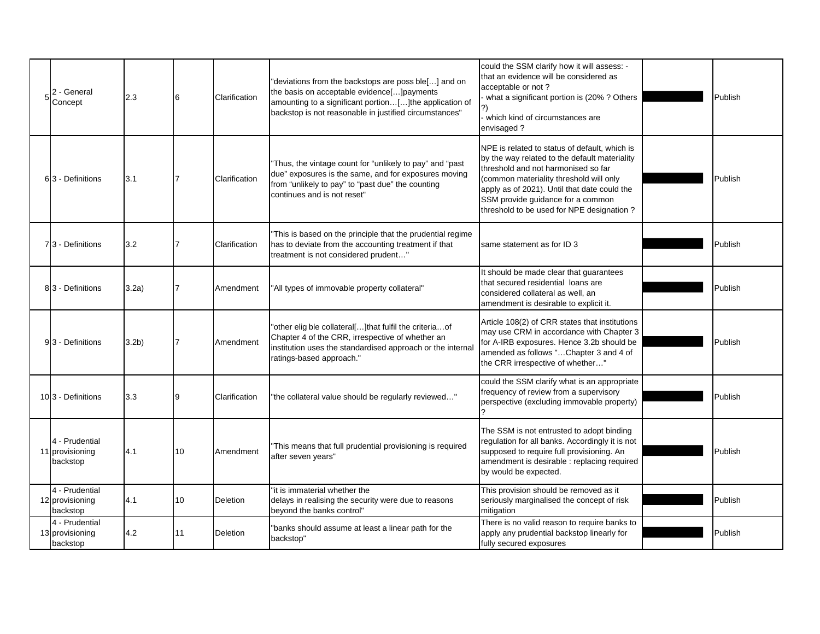| 2 - General<br>Concept                        | 2.3              |    | Clarification | "deviations from the backstops are poss ble[] and on<br>the basis on acceptable evidence[] payments<br>amounting to a significant portion[] the application of<br>backstop is not reasonable in justified circumstances" | could the SSM clarify how it will assess: -<br>that an evidence will be considered as<br>acceptable or not?<br>what a significant portion is (20%? Others<br>which kind of circumstances are<br>envisaged?                                                                                                         | Publish |
|-----------------------------------------------|------------------|----|---------------|--------------------------------------------------------------------------------------------------------------------------------------------------------------------------------------------------------------------------|--------------------------------------------------------------------------------------------------------------------------------------------------------------------------------------------------------------------------------------------------------------------------------------------------------------------|---------|
| 63 - Definitions                              | 3.1              |    | Clarification | "Thus, the vintage count for "unlikely to pay" and "past<br>due" exposures is the same, and for exposures moving<br>from "unlikely to pay" to "past due" the counting<br>continues and is not reset"                     | NPE is related to status of default, which is<br>by the way related to the default materiality<br>threshold and not harmonised so far<br>(common materiality threshold will only<br>apply as of 2021). Until that date could the<br>SSM provide guidance for a common<br>threshold to be used for NPE designation? | Publish |
| 73 - Definitions                              | 3.2              |    | Clarification | This is based on the principle that the prudential regime<br>has to deviate from the accounting treatment if that<br>treatment is not considered prudent"                                                                | same statement as for ID 3                                                                                                                                                                                                                                                                                         | Publish |
| 83 - Definitions                              | 3.2a)            |    | Amendment     | "All types of immovable property collateral"                                                                                                                                                                             | It should be made clear that guarantees<br>that secured residential loans are<br>considered collateral as well, an<br>amendment is desirable to explicit it.                                                                                                                                                       | Publish |
| 93 - Definitions                              | 3.2 <sub>b</sub> |    | Amendment     | "other elig ble collateral[]that fulfil the criteriaof<br>Chapter 4 of the CRR, irrespective of whether an<br>institution uses the standardised approach or the internal<br>ratings-based approach."                     | Article 108(2) of CRR states that institutions<br>may use CRM in accordance with Chapter 3<br>for A-IRB exposures. Hence 3.2b should be<br>amended as follows "Chapter 3 and 4 of<br>the CRR irrespective of whether"                                                                                              | Publish |
| 103 - Definitions                             | 3.3              |    | Clarification | the collateral value should be regularly reviewed"                                                                                                                                                                       | could the SSM clarify what is an appropriate<br>frequency of review from a supervisory<br>perspective (excluding immovable property)                                                                                                                                                                               | Publish |
| 4 - Prudential<br>11 provisioning<br>backstop | 4.1              | 10 | Amendment     | This means that full prudential provisioning is required<br>after seven years"                                                                                                                                           | The SSM is not entrusted to adopt binding<br>regulation for all banks. Accordingly it is not<br>supposed to require full provisioning. An<br>amendment is desirable : replacing required<br>by would be expected.                                                                                                  | Publish |
| 4 - Prudential<br>12 provisioning<br>backstop | 4.1              | 10 | Deletion      | "it is immaterial whether the<br>delays in realising the security were due to reasons<br>beyond the banks control"                                                                                                       | This provision should be removed as it<br>seriously marginalised the concept of risk<br>mitigation                                                                                                                                                                                                                 | Publish |
| 4 - Prudential<br>13 provisioning<br>backstop | 4.2              | 11 | Deletion      | "banks should assume at least a linear path for the<br>backstop"                                                                                                                                                         | There is no valid reason to require banks to<br>apply any prudential backstop linearly for<br>fully secured exposures                                                                                                                                                                                              | Publish |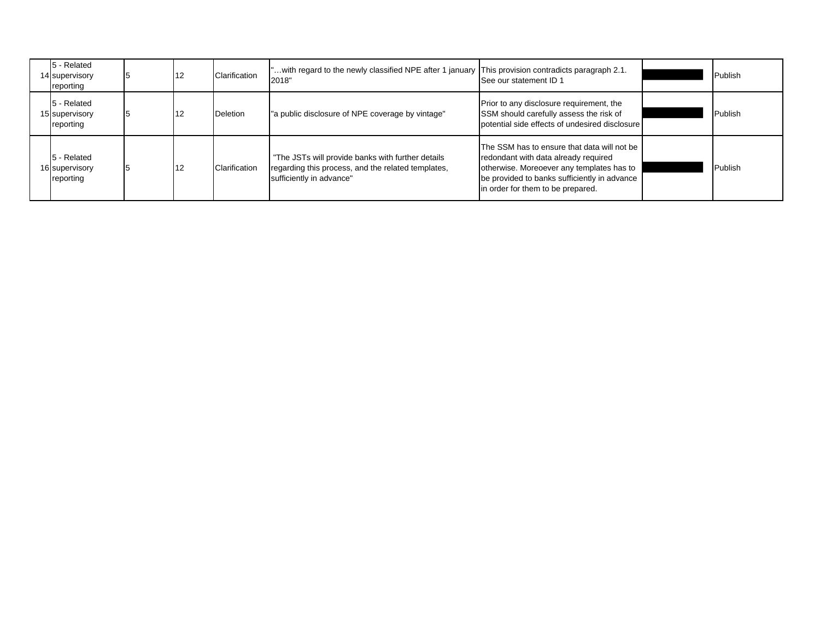| 5 - Related<br>14 supervisory<br>reporting | 12 | Clarification   | with regard to the newly classified NPE after 1 january This provision contradicts paragraph 2.1.<br>2018"                          | See our statement ID 1                                                                                                                                                                                                | Publish |
|--------------------------------------------|----|-----------------|-------------------------------------------------------------------------------------------------------------------------------------|-----------------------------------------------------------------------------------------------------------------------------------------------------------------------------------------------------------------------|---------|
| 5 - Related<br>15 supervisory<br>reporting |    | <b>Deletion</b> | "a public disclosure of NPE coverage by vintage"                                                                                    | Prior to any disclosure requirement, the<br>SSM should carefully assess the risk of<br>potential side effects of undesired disclosure                                                                                 | Publish |
| 5 - Related<br>16 supervisory<br>reporting | 12 | Clarification   | "The JSTs will provide banks with further details<br>regarding this process, and the related templates,<br>sufficiently in advance" | The SSM has to ensure that data will not be<br>redondant with data already required<br>otherwise. Moreoever any templates has to<br>be provided to banks sufficiently in advance<br>in order for them to be prepared. | Publish |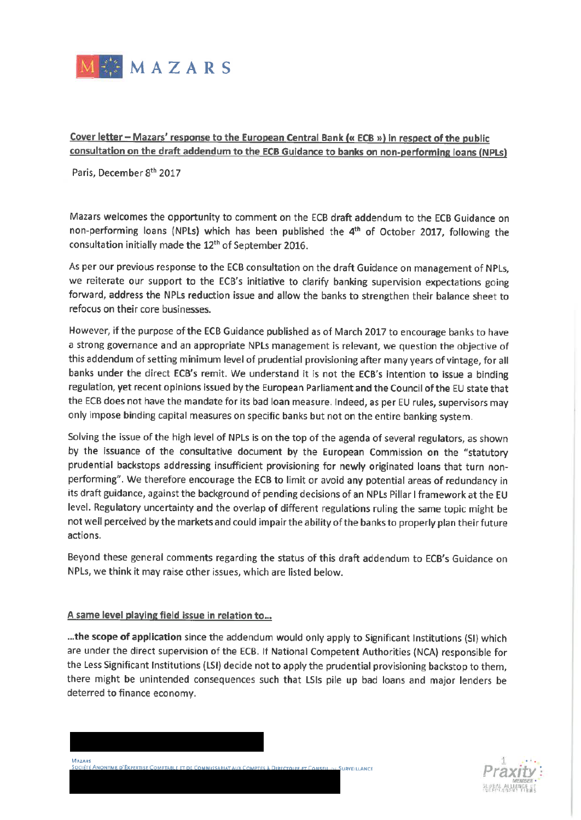

Cover letter - Mazars' response to the European Central Bank (« ECB ») in respect of the public consultation on the draft addendum to the ECB Guidance to banks on non-performing loans (NPLs)

Paris, December 8th 2017

Mazars welcomes the opportunity to comment on the ECB draft addendum to the ECB Guidance on non-performing loans (NPLs) which has been published the 4<sup>th</sup> of October 2017, following the consultation initially made the 12<sup>th</sup> of September 2016.

As per our previous response to the ECB consultation on the draft Guidance on management of NPLs, we reiterate our support to the ECB's initiative to clarify banking supervision expectations going forward, address the NPLs reduction issue and allow the banks to strengthen their balance sheet to refocus on their core businesses.

However, if the purpose of the ECB Guidance published as of March 2017 to encourage banks to have a strong governance and an appropriate NPLs management is relevant, we question the objective of this addendum of setting minimum level of prudential provisioning after many years of vintage, for all banks under the direct ECB's remit. We understand it is not the ECB's intention to issue a binding regulation, yet recent opinions issued by the European Parliament and the Council of the EU state that the ECB does not have the mandate for its bad loan measure. Indeed, as per EU rules, supervisors may only impose binding capital measures on specific banks but not on the entire banking system.

Solving the issue of the high level of NPLs is on the top of the agenda of several regulators, as shown by the issuance of the consultative document by the European Commission on the "statutory prudential backstops addressing insufficient provisioning for newly originated loans that turn nonperforming". We therefore encourage the ECB to limit or avoid any potential areas of redundancy in its draft guidance, against the background of pending decisions of an NPLs Pillar I framework at the EU level. Regulatory uncertainty and the overlap of different regulations ruling the same topic might be not well perceived by the markets and could impair the ability of the banks to properly plan their future actions.

Beyond these general comments regarding the status of this draft addendum to ECB's Guidance on NPLs, we think it may raise other issues, which are listed below.

#### A same level playing field issue in relation to...

...the scope of application since the addendum would only apply to Significant Institutions (SI) which are under the direct supervision of the ECB. If National Competent Authorities (NCA) responsible for the Less Significant Institutions (LSI) decide not to apply the prudential provisioning backstop to them, there might be unintended consequences such that LSIs pile up bad loans and major lenders be deterred to finance economy.



MAZARS SURVEILLANCE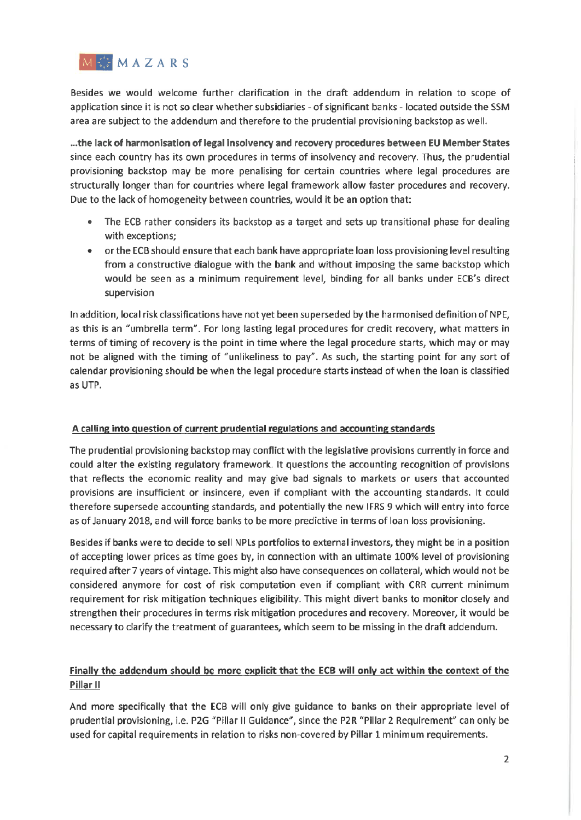

Besides we would welcome further clarification in the draft addendum in relation to scope of application since it is not so clear whether subsidiaries - of significant banks - located outside the SSM area are subject to the addendum and therefore to the prudential provisioning backstop as well.

...the lack of harmonisation of legal insolvency and recovery procedures between EU Member States since each country has its own procedures in terms of insolvency and recovery. Thus, the prudential provisioning backstop may be more penalising for certain countries where legal procedures are structurally longer than for countries where legal framework allow faster procedures and recovery. Due to the lack of homogeneity between countries, would it be an option that:

- The ECB rather considers its backstop as a target and sets up transitional phase for dealing with exceptions;
- or the ECB should ensure that each bank have appropriate loan loss provisioning level resulting from a constructive dialogue with the bank and without imposing the same backstop which would be seen as a minimum requirement level, binding for all banks under ECB's direct supervision

In addition, local risk classifications have not yet been superseded by the harmonised definition of NPE, as this is an "umbrella term". For long lasting legal procedures for credit recovery, what matters in terms of timing of recovery is the point in time where the legal procedure starts, which may or may not be aligned with the timing of "unlikeliness to pay". As such, the starting point for any sort of calendar provisioning should be when the legal procedure starts instead of when the loan is classified as UTP.

#### A calling into question of current prudential regulations and accounting standards

The prudential provisioning backstop may conflict with the legislative provisions currently in force and could alter the existing regulatory framework. It questions the accounting recognition of provisions that reflects the economic reality and may give bad signals to markets or users that accounted provisions are insufficient or insincere, even if compliant with the accounting standards. It could therefore supersede accounting standards, and potentially the new IFRS 9 which will entry into force as of January 2018, and will force banks to be more predictive in terms of loan loss provisioning.

Besides if banks were to decide to sell NPLs portfolios to external investors, they might be in a position of accepting lower prices as time goes by, in connection with an ultimate 100% level of provisioning required after 7 years of vintage. This might also have consequences on collateral, which would not be considered anymore for cost of risk computation even if compliant with CRR current minimum requirement for risk mitigation techniques eligibility. This might divert banks to monitor closely and strengthen their procedures in terms risk mitigation procedures and recovery. Moreover, it would be necessary to clarify the treatment of guarantees, which seem to be missing in the draft addendum.

### Finally the addendum should be more explicit that the ECB will only act within the context of the Pillar II

And more specifically that the ECB will only give guidance to banks on their appropriate level of prudential provisioning, i.e. P2G "Pillar II Guidance", since the P2R "Pillar 2 Requirement" can only be used for capital requirements in relation to risks non-covered by Pillar 1 minimum requirements.